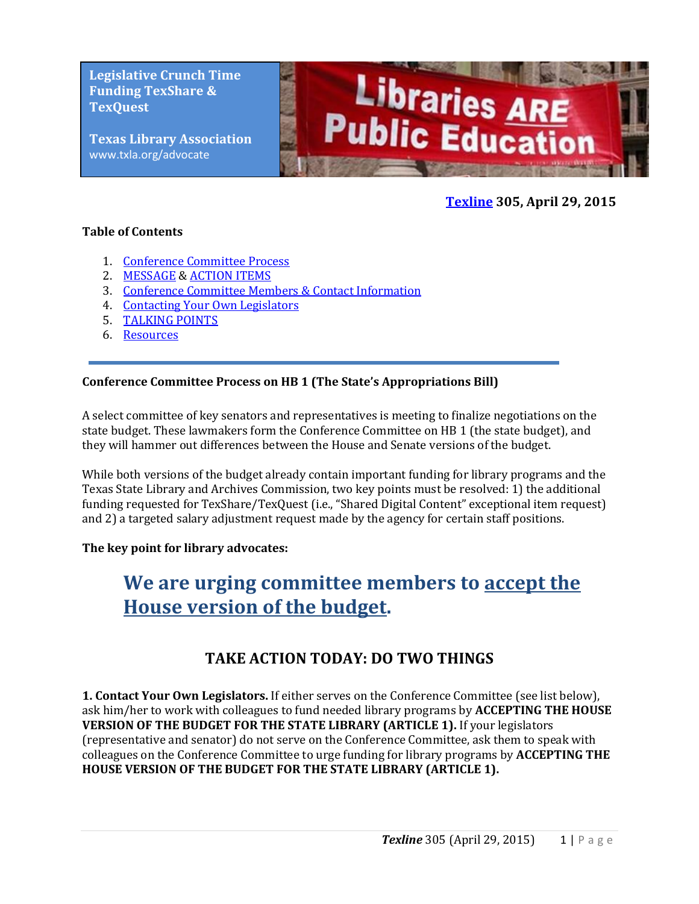**Legislative Crunch Time Funding TexShare & TexQuest**

**Texas Library Association** www.txla.org/advocate



### **[Texline](http://www.txla.org/texline-updates) 305, April 29, 2015**

#### **Table of Contents**

- 1. [Conference Committee Process](#page-0-0)
- 2. [MESSAGE](#page-1-0) [& ACTION ITEMS](#page-0-1)
- 3. [Conference Committee Members & Contact Information](#page-3-0)
- 4. Contacting Your Own Legislators
- 5. [TALKING POINTS](#page-1-1)
- 6. [Resources](#page-3-1)

#### <span id="page-0-0"></span>**Conference Committee Process on HB 1 (The State's Appropriations Bill)**

A select committee of key senators and representatives is meeting to finalize negotiations on the state budget. These lawmakers form the Conference Committee on HB 1 (the state budget), and they will hammer out differences between the House and Senate versions of the budget.

While both versions of the budget already contain important funding for library programs and the Texas State Library and Archives Commission, two key points must be resolved: 1) the additional funding requested for TexShare/TexQuest (i.e., "Shared Digital Content" exceptional item request) and 2) a targeted salary adjustment request made by the agency for certain staff positions.

#### **The key point for library advocates:**

# **We are urging committee members to accept the House version of the budget.**

# **TAKE ACTION TODAY: DO TWO THINGS**

<span id="page-0-1"></span>**1. Contact Your Own Legislators.** If either serves on the Conference Committee (see list below), ask him/her to work with colleagues to fund needed library programs by **ACCEPTING THE HOUSE VERSION OF THE BUDGET FOR THE STATE LIBRARY (ARTICLE 1).** If your legislators (representative and senator) do not serve on the Conference Committee, ask them to speak with colleagues on the Conference Committee to urge funding for library programs by **ACCEPTING THE HOUSE VERSION OF THE BUDGET FOR THE STATE LIBRARY (ARTICLE 1).**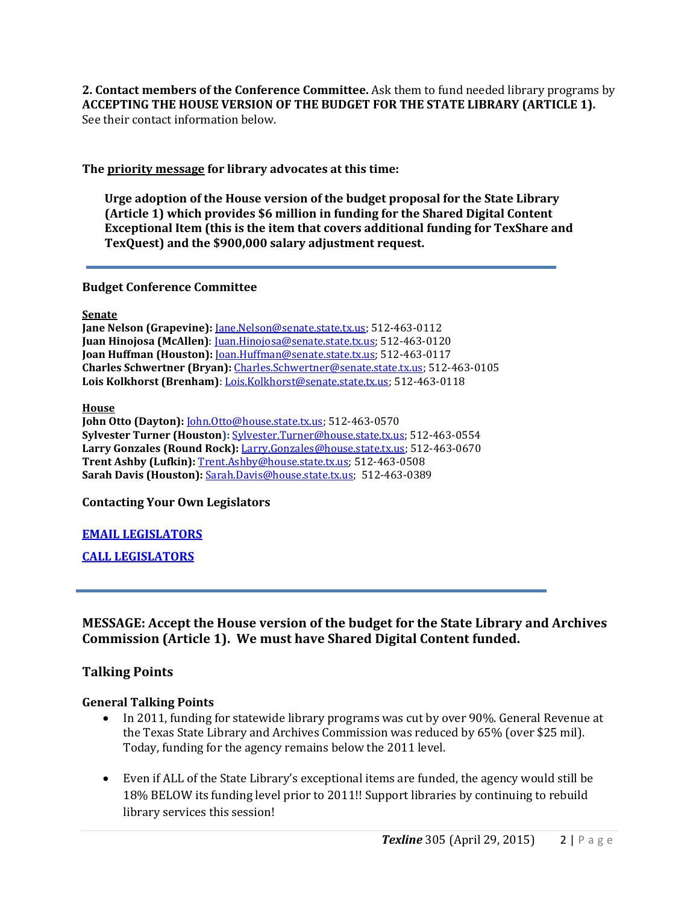**2. Contact members of the Conference Committee.** Ask them to fund needed library programs by **ACCEPTING THE HOUSE VERSION OF THE BUDGET FOR THE STATE LIBRARY (ARTICLE 1).**  See their contact information below.

<span id="page-1-0"></span>**The priority message for library advocates at this time:**

**Urge adoption of the House version of the budget proposal for the State Library (Article 1) which provides \$6 million in funding for the Shared Digital Content Exceptional Item (this is the item that covers additional funding for TexShare and TexQuest) and the \$900,000 salary adjustment request.** 

**Budget Conference Committee**

**Senate**

**Jane Nelson (Grapevine):** [Jane.Nelson@senate.state.tx.us;](mailto:Jane.Nelson@senate.state.tx.us) 512-463-0112 **Juan Hinojosa (McAllen)**: [Juan.Hinojosa@senate.state.tx.us;](mailto:Juan.Hinojosa@senate.state.tx.us) 512-463-0120 **Joan Huffman (Houston):** [Joan.Huffman@senate.state.tx.us;](mailto:Joan.Huffman@senate.state.tx.us) 512-463-0117 **Charles Schwertner (Bryan):** [Charles.Schwertner@senate.state.tx.us;](mailto:Charles.Schwertner@senate.state.tx.us) 512-463-0105 **Lois Kolkhorst (Brenham)**: [Lois.Kolkhorst@senate.state.tx.us;](mailto:Lois.Kolkhorst@senate.state.tx.us) 512-463-0118

**House**

**John Otto (Dayton):** [John.Otto@house.state.tx.us;](mailto:John.Otto@house.state.tx.us) 512-463-0570 **Sylvester Turner (Houston):** [Sylvester.Turner@house.state.tx.us;](mailto:Sylvester.Turner@house.state.tx.us) 512-463-0554 **Larry Gonzales (Round Rock):** [Larry.Gonzales@house.state.tx.us;](mailto:Larry.Gonzales@house.state.tx.us) 512-463-0670 **Trent Ashby (Lufkin):** [Trent.Ashby@house.state.tx.us;](mailto:Trent.Ashby@house.state.tx.us) 512-463-0508 **Sarah Davis (Houston):** [Sarah.Davis@house.state.tx.us;](mailto:Sarah.Davis@house.state.tx.us) 512-463-0389

**Contacting Your Own Legislators**

#### **[EMAIL LEGISLATORS](http://cqrcengage.com/alatx/app/write-a-letter?12&engagementId=96453)**

**[CALL LEGISLATORS](http://cqrcengage.com/alatx/app/make-a-call?4&engagementId=88653)**

# **MESSAGE: Accept the House version of the budget for the State Library and Archives Commission (Article 1). We must have Shared Digital Content funded.**

# <span id="page-1-1"></span>**Talking Points**

#### **General Talking Points**

- In 2011, funding for statewide library programs was cut by over 90%. General Revenue at the Texas State Library and Archives Commission was reduced by 65% (over \$25 mil). Today, funding for the agency remains below the 2011 level.
- Even if ALL of the State Library's exceptional items are funded, the agency would still be 18% BELOW its funding level prior to 2011!! Support libraries by continuing to rebuild library services this session!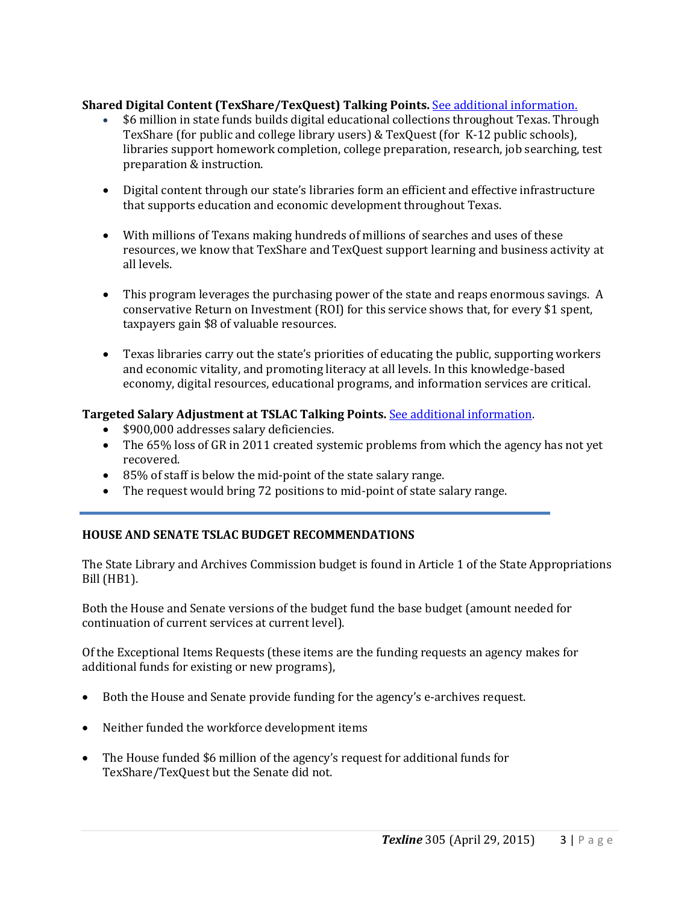#### **Shared Digital Content (TexShare/TexQuest) Talking Points.** [See additional information.](http://www.txla.org/sites/tla/files/Advocate/digitalcontentCONFERENCE.pdf)

- \$6 million in state funds builds digital educational collections throughout Texas. Through TexShare (for public and college library users) & TexQuest (for K-12 public schools), libraries support homework completion, college preparation, research, job searching, test preparation & instruction.
- Digital content through our state's libraries form an efficient and effective infrastructure that supports education and economic development throughout Texas.
- With millions of Texans making hundreds of millions of searches and uses of these resources, we know that TexShare and TexQuest support learning and business activity at all levels.
- This program leverages the purchasing power of the state and reaps enormous savings. A conservative Return on Investment (ROI) for this service shows that, for every \$1 spent, taxpayers gain \$8 of valuable resources.
- Texas libraries carry out the state's priorities of educating the public, supporting workers and economic vitality, and promoting literacy at all levels. In this knowledge-based economy, digital resources, educational programs, and information services are critical.

#### **Targeted Salary Adjustment at TSLAC Talking Points.** [See additional information.](http://www.txla.org/sites/tla/files/Advocate/salaryadjustment%20flyer.pdf)

- \$900,000 addresses salary deficiencies.
- The 65% loss of GR in 2011 created systemic problems from which the agency has not yet recovered.
- 85% of staff is below the mid-point of the state salary range.
- The request would bring 72 positions to mid-point of state salary range.

#### **HOUSE AND SENATE TSLAC BUDGET RECOMMENDATIONS**

The State Library and Archives Commission budget is found in Article 1 of the State Appropriations Bill (HB1).

Both the House and Senate versions of the budget fund the base budget (amount needed for continuation of current services at current level).

Of the Exceptional Items Requests (these items are the funding requests an agency makes for additional funds for existing or new programs),

- Both the House and Senate provide funding for the agency's e-archives request.
- Neither funded the workforce development items
- The House funded \$6 million of the agency's request for additional funds for TexShare/TexQuest but the Senate did not.